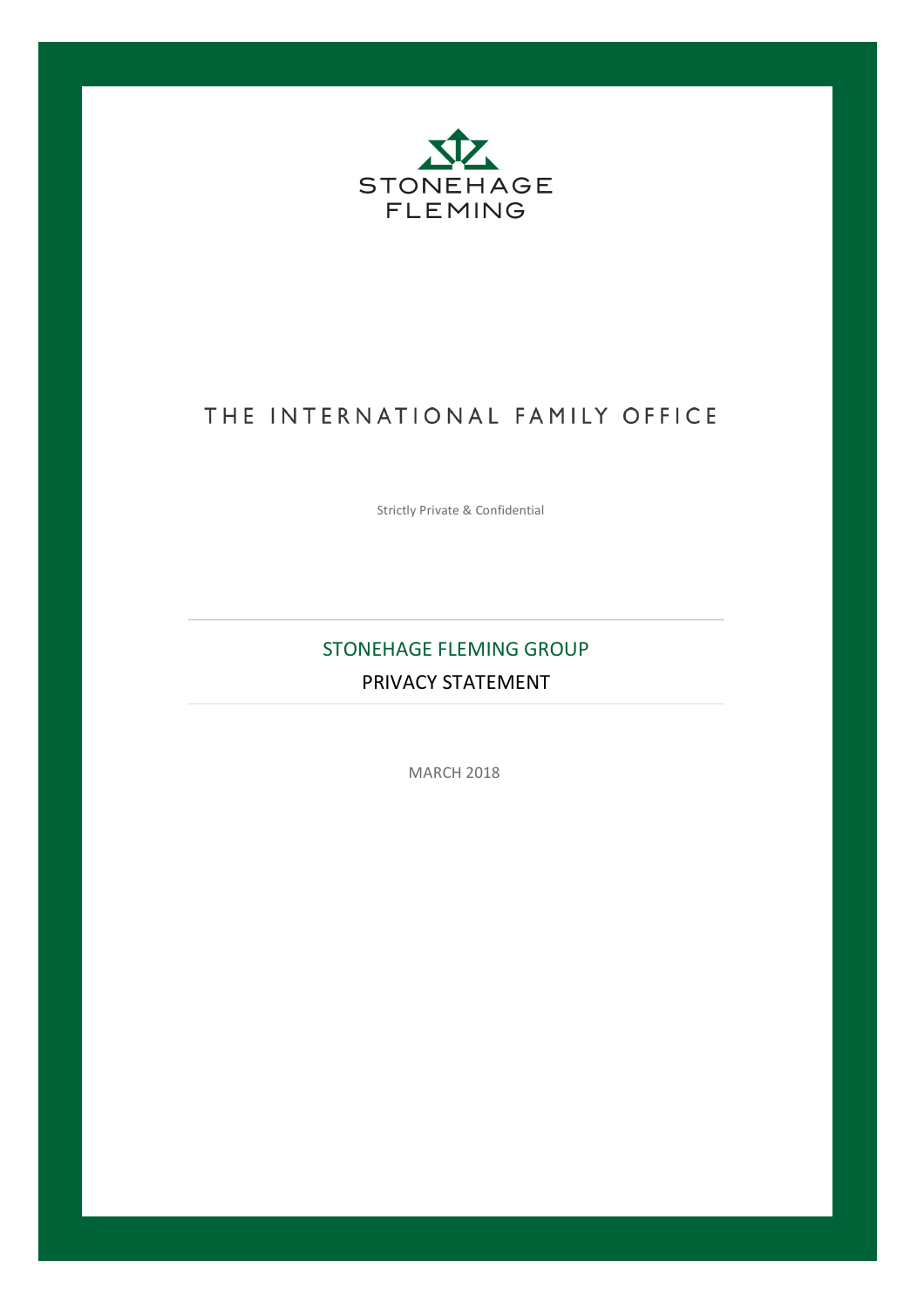

# THE INTERNATIONAL FAMILY OFFICE

Strictly Private & Confidential

# STONEHAGE FLEMING GROUP PRIVACY STATEMENT

**MARCH 2018**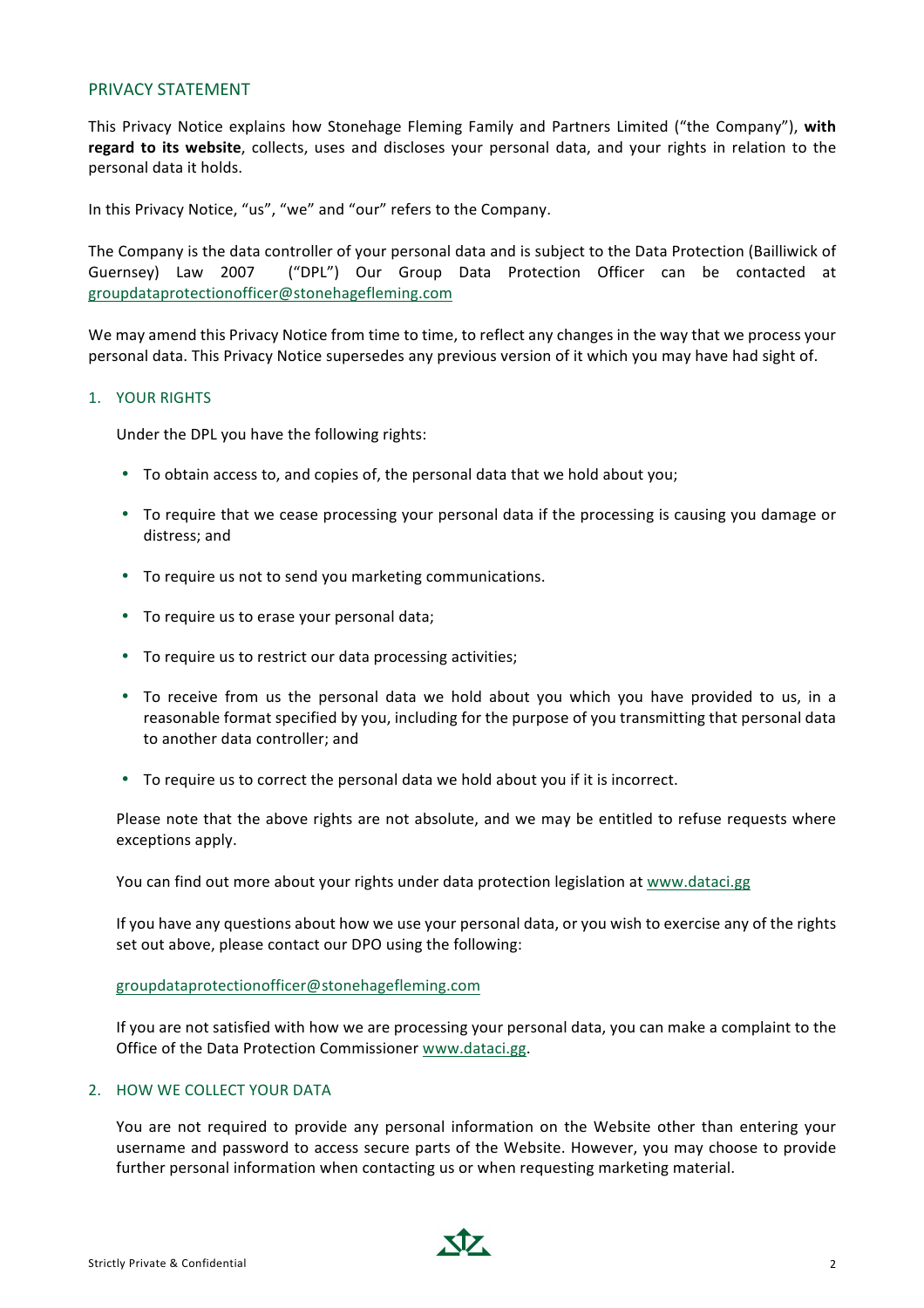#### PRIVACY STATEMENT

This Privacy Notice explains how Stonehage Fleming Family and Partners Limited ("the Company"), with regard to its website, collects, uses and discloses your personal data, and your rights in relation to the personal data it holds.

In this Privacy Notice, "us", "we" and "our" refers to the Company.

The Company is the data controller of your personal data and is subject to the Data Protection (Bailliwick of Guernsey) Law 2007 ("DPL") Our Group Data Protection Officer can be contacted at groupdataprotectionofficer@stonehagefleming.com

We may amend this Privacy Notice from time to time, to reflect any changes in the way that we process your personal data. This Privacy Notice supersedes any previous version of it which you may have had sight of.

### 1. YOUR RIGHTS

Under the DPL you have the following rights:

- To obtain access to, and copies of, the personal data that we hold about you;
- To require that we cease processing your personal data if the processing is causing you damage or distress; and
- To require us not to send you marketing communications.
- To require us to erase your personal data;
- To require us to restrict our data processing activities;
- To receive from us the personal data we hold about you which you have provided to us, in a reasonable format specified by you, including for the purpose of you transmitting that personal data to another data controller; and
- To require us to correct the personal data we hold about you if it is incorrect.

Please note that the above rights are not absolute, and we may be entitled to refuse requests where exceptions apply.

You can find out more about your rights under data protection legislation at www.dataci.gg

If you have any questions about how we use your personal data, or you wish to exercise any of the rights set out above, please contact our DPO using the following:

#### groupdataprotectionofficer@stonehagefleming.com

If you are not satisfied with how we are processing your personal data, you can make a complaint to the Office of the Data Protection Commissioner www.dataci.gg.

## 2. HOW WE COLLECT YOUR DATA

You are not required to provide any personal information on the Website other than entering your username and password to access secure parts of the Website. However, you may choose to provide further personal information when contacting us or when requesting marketing material.

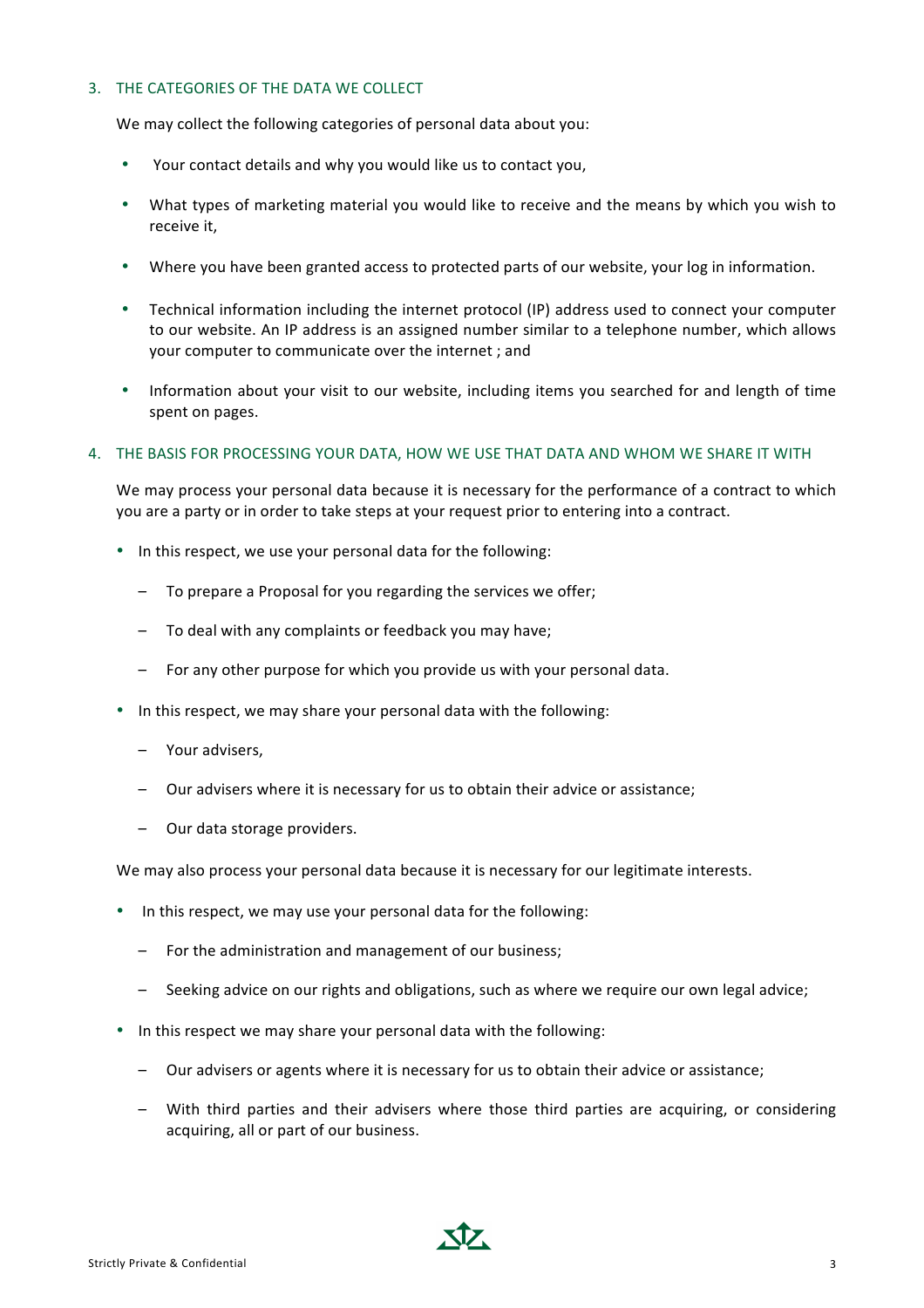# 3. THE CATEGORIES OF THE DATA WE COLLECT

We may collect the following categories of personal data about you:

- Your contact details and why you would like us to contact you,
- What types of marketing material you would like to receive and the means by which you wish to receive it,
- Where you have been granted access to protected parts of our website, your log in information.
- Technical information including the internet protocol (IP) address used to connect your computer to our website. An IP address is an assigned number similar to a telephone number, which allows your computer to communicate over the internet ; and
- Information about your visit to our website, including items you searched for and length of time spent on pages.

### 4. THE BASIS FOR PROCESSING YOUR DATA, HOW WE USE THAT DATA AND WHOM WE SHARE IT WITH

We may process your personal data because it is necessary for the performance of a contract to which you are a party or in order to take steps at your request prior to entering into a contract.

- In this respect, we use your personal data for the following:
	- To prepare a Proposal for you regarding the services we offer;
	- To deal with any complaints or feedback you may have;
	- $-$  For any other purpose for which you provide us with your personal data.
- In this respect, we may share your personal data with the following:
	- Your advisers,
	- Our advisers where it is necessary for us to obtain their advice or assistance:
	- Our data storage providers.

We may also process your personal data because it is necessary for our legitimate interests.

- In this respect, we may use your personal data for the following:
	- For the administration and management of our business;
	- Seeking advice on our rights and obligations, such as where we require our own legal advice;
- In this respect we may share your personal data with the following:
	- Our advisers or agents where it is necessary for us to obtain their advice or assistance;
	- With third parties and their advisers where those third parties are acquiring, or considering acquiring, all or part of our business.